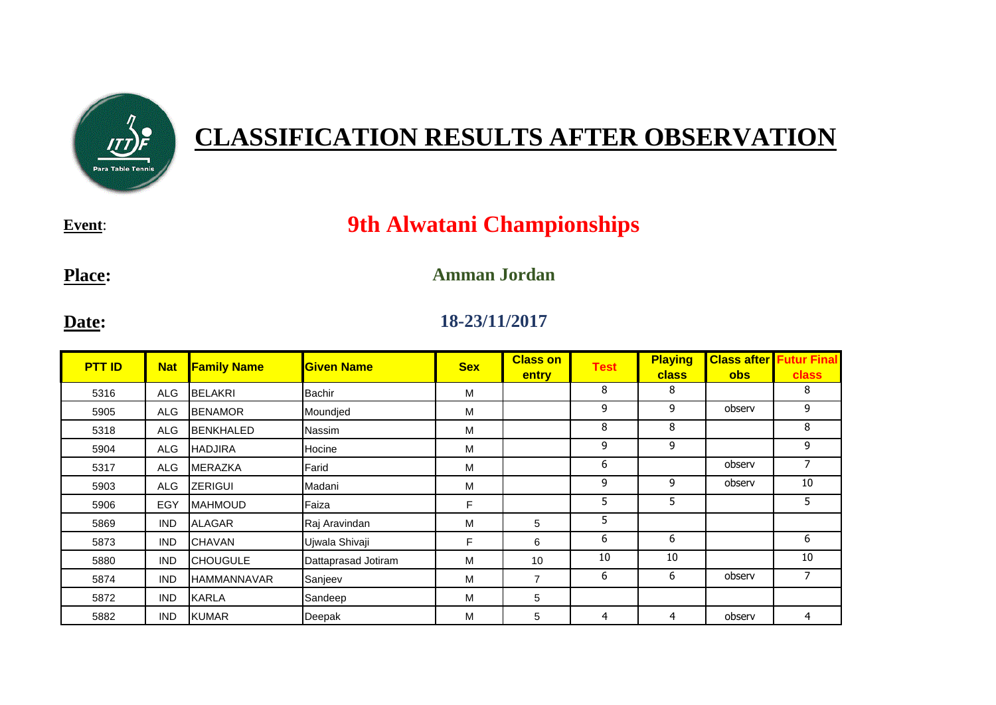

## **CLASSIFICATION RESULTS AFTER OBSERVATION**

**Event**:

## **9th Alwatani Championships**

**Place:**

## **Amman Jordan**

**Date:**

## **18-23/11/2017**

| <b>PTT ID</b> | <b>Nat</b> | <b>Family Name</b> | <b>Given Name</b>   | <b>Sex</b> | <b>Class on</b><br>entry | <b>Test</b> | <b>Playing</b><br><b>class</b> | <b>Class after</b><br><b>obs</b> | <b>Futur Final</b><br><b>class</b> |
|---------------|------------|--------------------|---------------------|------------|--------------------------|-------------|--------------------------------|----------------------------------|------------------------------------|
| 5316          | <b>ALG</b> | <b>BELAKRI</b>     | <b>Bachir</b>       | м          |                          | 8           | 8                              |                                  | 8                                  |
| 5905          | <b>ALG</b> | <b>BENAMOR</b>     | Moundjed            | М          |                          | 9           | 9                              | observ                           | 9                                  |
| 5318          | <b>ALG</b> | <b>BENKHALED</b>   | Nassim              | М          |                          | 8           | 8                              |                                  | 8                                  |
| 5904          | <b>ALG</b> | <b>HADJIRA</b>     | Hocine              | М          |                          | 9           | 9                              |                                  | 9                                  |
| 5317          | <b>ALG</b> | <b>MERAZKA</b>     | Farid               | м          |                          | 6           |                                | observ                           | 7                                  |
| 5903          | ALG        | <b>ZERIGUI</b>     | Madani              | М          |                          | 9           | 9                              | observ                           | 10                                 |
| 5906          | EGY        | <b>MAHMOUD</b>     | Faiza               | F          |                          | 5           | 5                              |                                  | 5                                  |
| 5869          | <b>IND</b> | <b>ALAGAR</b>      | Raj Aravindan       | м          | 5                        | 5           |                                |                                  |                                    |
| 5873          | <b>IND</b> | <b>CHAVAN</b>      | Ujwala Shivaji      | F          | 6                        | 6           | 6                              |                                  | 6                                  |
| 5880          | <b>IND</b> | <b>CHOUGULE</b>    | Dattaprasad Jotiram | М          | 10                       | 10          | 10                             |                                  | 10                                 |
| 5874          | <b>IND</b> | <b>HAMMANNAVAR</b> | Sanjeev             | м          | $\overline{7}$           | 6           | 6                              | observ                           | 7                                  |
| 5872          | <b>IND</b> | <b>KARLA</b>       | Sandeep             | м          | 5                        |             |                                |                                  |                                    |
| 5882          | <b>IND</b> | <b>KUMAR</b>       | Deepak              | м          | 5                        | 4           | 4                              | observ                           | 4                                  |